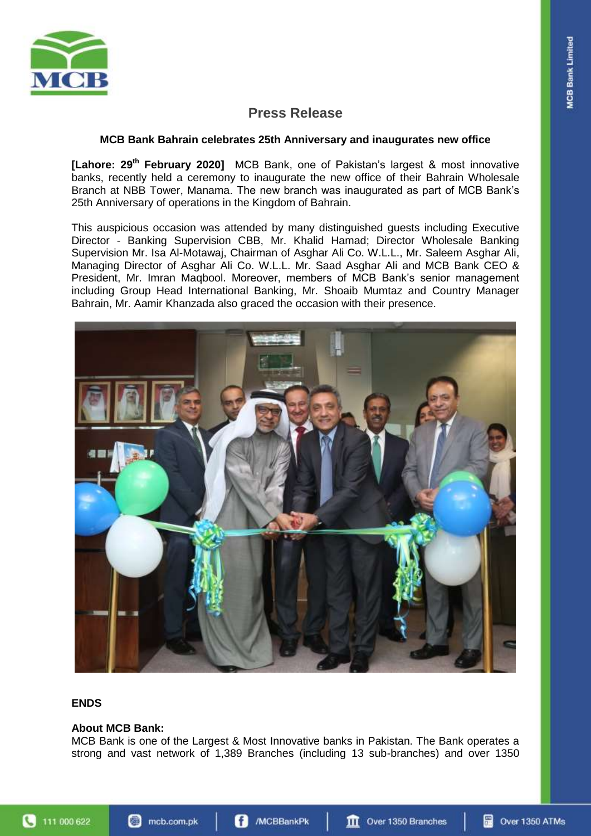

# **Press Release**

### **MCB Bank Bahrain celebrates 25th Anniversary and inaugurates new office**

**[Lahore: 29th February 2020]** MCB Bank, one of Pakistan's largest & most innovative banks, recently held a ceremony to inaugurate the new office of their Bahrain Wholesale Branch at NBB Tower, Manama. The new branch was inaugurated as part of MCB Bank's 25th Anniversary of operations in the Kingdom of Bahrain.

This auspicious occasion was attended by many distinguished guests including Executive Director - Banking Supervision CBB, Mr. Khalid Hamad; Director Wholesale Banking Supervision Mr. Isa Al-Motawaj, Chairman of Asghar Ali Co. W.L.L., Mr. Saleem Asghar Ali, Managing Director of Asghar Ali Co. W.L.L. Mr. Saad Asghar Ali and MCB Bank CEO & President, Mr. Imran Maqbool. Moreover, members of MCB Bank's senior management including Group Head International Banking, Mr. Shoaib Mumtaz and Country Manager Bahrain, Mr. Aamir Khanzada also graced the occasion with their presence.



# **ENDS**

#### **About MCB Bank:**

MCB Bank is one of the Largest & Most Innovative banks in Pakistan. The Bank operates a strong and vast network of 1,389 Branches (including 13 sub-branches) and over 1350

4 111 000 622

**III** Over 1350 Branches